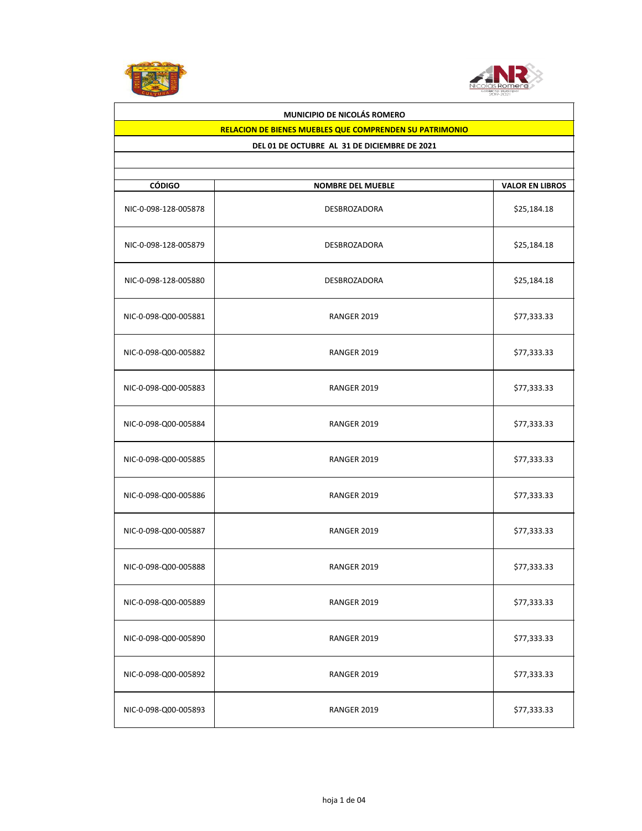



## **RELACION DE BIENES MUEBLES QUE COMPRENDEN SU PATRIMONIO**

| <b>CÓDIGO</b>        | <b>NOMBRE DEL MUEBLE</b> | <b>VALOR EN LIBROS</b> |
|----------------------|--------------------------|------------------------|
| NIC-0-098-128-005878 | DESBROZADORA             | \$25,184.18            |
| NIC-0-098-128-005879 | <b>DESBROZADORA</b>      | \$25,184.18            |
| NIC-0-098-128-005880 | DESBROZADORA             | \$25,184.18            |
| NIC-0-098-Q00-005881 | RANGER 2019              | \$77,333.33            |
| NIC-0-098-Q00-005882 | RANGER 2019              | \$77,333.33            |
| NIC-0-098-Q00-005883 | RANGER 2019              | \$77,333.33            |
| NIC-0-098-Q00-005884 | RANGER 2019              | \$77,333.33            |
| NIC-0-098-Q00-005885 | RANGER 2019              | \$77,333.33            |
| NIC-0-098-Q00-005886 | RANGER 2019              | \$77,333.33            |
| NIC-0-098-Q00-005887 | RANGER 2019              | \$77,333.33            |
| NIC-0-098-Q00-005888 | RANGER 2019              | \$77,333.33            |
| NIC-0-098-Q00-005889 | RANGER 2019              | \$77,333.33            |
| NIC-0-098-Q00-005890 | RANGER 2019              | \$77,333.33            |
| NIC-0-098-Q00-005892 | RANGER 2019              | \$77,333.33            |
| NIC-0-098-Q00-005893 | RANGER 2019              | \$77,333.33            |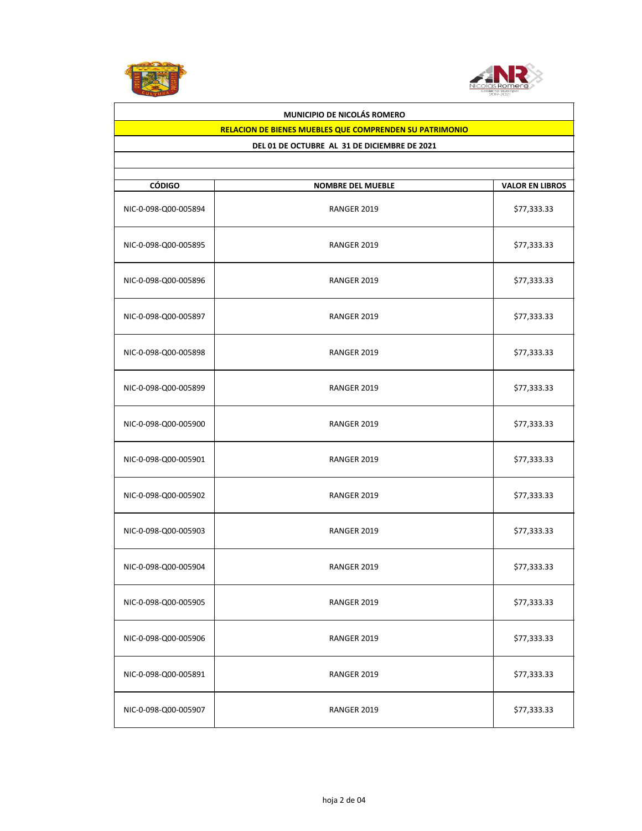



## **RELACION DE BIENES MUEBLES QUE COMPRENDEN SU PATRIMONIO**

| <b>CÓDIGO</b>        | <b>NOMBRE DEL MUEBLE</b> | <b>VALOR EN LIBROS</b> |
|----------------------|--------------------------|------------------------|
| NIC-0-098-Q00-005894 | RANGER 2019              | \$77,333.33            |
| NIC-0-098-Q00-005895 | RANGER 2019              | \$77,333.33            |
| NIC-0-098-Q00-005896 | RANGER 2019              | \$77,333.33            |
| NIC-0-098-Q00-005897 | RANGER 2019              | \$77,333.33            |
| NIC-0-098-Q00-005898 | RANGER 2019              | \$77,333.33            |
| NIC-0-098-Q00-005899 | RANGER 2019              | \$77,333.33            |
| NIC-0-098-Q00-005900 | RANGER 2019              | \$77,333.33            |
| NIC-0-098-Q00-005901 | RANGER 2019              | \$77,333.33            |
| NIC-0-098-Q00-005902 | RANGER 2019              | \$77,333.33            |
| NIC-0-098-Q00-005903 | RANGER 2019              | \$77,333.33            |
| NIC-0-098-Q00-005904 | RANGER 2019              | \$77,333.33            |
| NIC-0-098-Q00-005905 | RANGER 2019              | \$77,333.33            |
| NIC-0-098-Q00-005906 | RANGER 2019              | \$77,333.33            |
| NIC-0-098-Q00-005891 | RANGER 2019              | \$77,333.33            |
| NIC-0-098-Q00-005907 | RANGER 2019              | \$77,333.33            |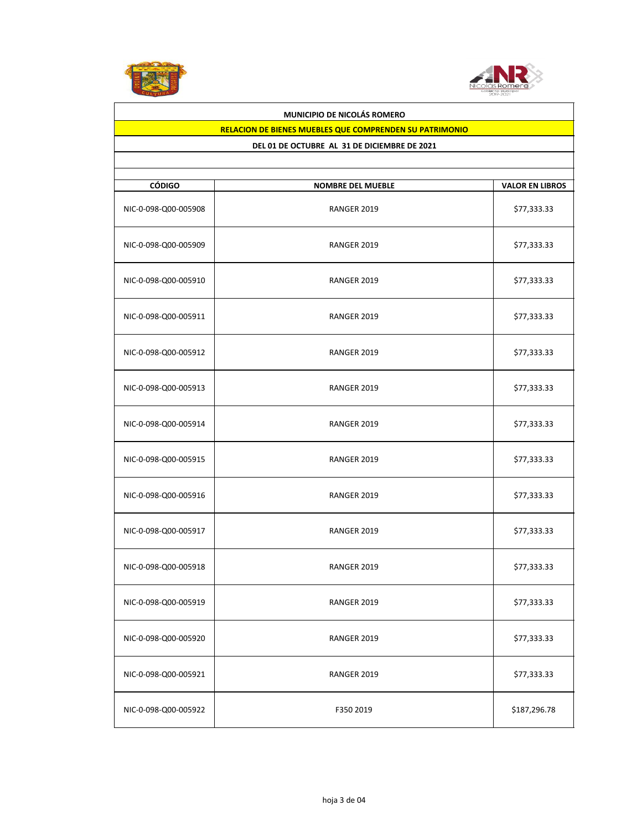



## **RELACION DE BIENES MUEBLES QUE COMPRENDEN SU PATRIMONIO**

| <b>CÓDIGO</b>        | <b>NOMBRE DEL MUEBLE</b> | <b>VALOR EN LIBROS</b> |
|----------------------|--------------------------|------------------------|
| NIC-0-098-Q00-005908 | RANGER 2019              | \$77,333.33            |
| NIC-0-098-Q00-005909 | RANGER 2019              | \$77,333.33            |
| NIC-0-098-Q00-005910 | RANGER 2019              | \$77,333.33            |
| NIC-0-098-Q00-005911 | RANGER 2019              | \$77,333.33            |
| NIC-0-098-Q00-005912 | RANGER 2019              | \$77,333.33            |
| NIC-0-098-Q00-005913 | RANGER 2019              | \$77,333.33            |
| NIC-0-098-Q00-005914 | RANGER 2019              | \$77,333.33            |
| NIC-0-098-Q00-005915 | RANGER 2019              | \$77,333.33            |
| NIC-0-098-Q00-005916 | RANGER 2019              | \$77,333.33            |
| NIC-0-098-Q00-005917 | RANGER 2019              | \$77,333.33            |
| NIC-0-098-Q00-005918 | RANGER 2019              | \$77,333.33            |
| NIC-0-098-Q00-005919 | RANGER 2019              | \$77,333.33            |
| NIC-0-098-Q00-005920 | RANGER 2019              | \$77,333.33            |
| NIC-0-098-Q00-005921 | RANGER 2019              | \$77,333.33            |
| NIC-0-098-Q00-005922 | F350 2019                | \$187,296.78           |